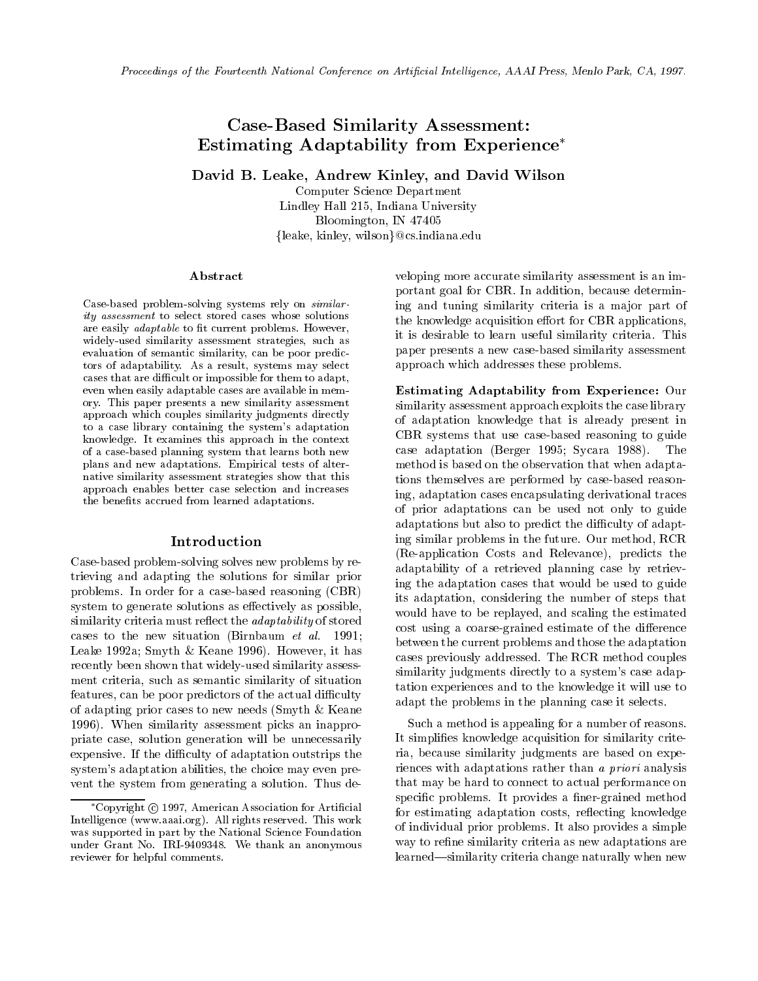# Case-Based Similarity Assessment: Estimating Adaptability from Experience

David B. Leake, Andrew Kinley, and David Wilson

Computer Science Department Lindley Hall 215, Indiana University Bloomington, IN 47405 {leake, kinley, wilson}@cs.indiana.edu

#### Abstract

Case-based problem-solving systems rely on *similar*ity assessment to select stored cases whose solutions are easily *adaptable* to fit current problems. However, widely-used similarity assessment strategies, such as evaluation of semantic similarity, can be poor predictors of adaptability. As a result, systems may select cases that are difficult or impossible for them to adapt, even when easily adaptable cases are available in memory. This paper presents a new similarity assessment approach which couples similarity judgments directly to a case library containing the system's adaptation knowledge. It examines this approach in the context of a case-based planning system that learns both new plans and new adaptations. Empirical tests of alternative similarity assessment strategies show that this approach enables better case selection and increases the benefits accrued from learned adaptations. the benets accrued from learned adaptations.

#### Introduction

Case-based problem-solving solves new problems by retrieving and adapting the solutions for similar prior problems. In order for a case-based reasoning (CBR) system to generate solutions as effectively as possible, similarity criteria must reflect the *adaptability* of stored cases to the new situation (Birnbaum et al. 1991; Leake 1992a; Smyth & Keane 1996). However, it has recently been shown that widely-used similarity assessment criteria, such as semantic similarity of situation features, can be poor predictors of the actual difficulty of adapting prior cases to new needs (Smyth & Keane 1996). When similarity assessment picks an inappropriate case, solution generation will be unnecessarily expensive. If the difficulty of adaptation outstrips the system's adaptation abilities, the choice may even pre vent the system from generating a solution. Thus developing more accurate similarity assessment is an important goal for CBR. In addition, because determining and tuning similarity criteria is a major part of the knowledge acquisition effort for CBR applications, it is desirable to learn useful similarity criteria. This paper presents a new case-based similarity assessment approach which addresses these problems.

Estimating Adaptability from Experience: Our similarity assessment approach exploits the case library of adaptation knowledge that is already present in CBR systems that use case-based reasoning to guide case adaptation (Berger 1995; Sycara 1988). The method is based on the observation that when adaptations themselves are performed by case-based reasoning, adaptation cases encapsulating derivational traces of prior adaptations can be used not only to guide adaptations but also to predict the difficulty of adapting similar problems in the future. Our method, RCR (Re-application Costs and Relevance), predicts the adaptability of a retrieved planning case by retrieving the adaptation cases that would be used to guide its adaptation, considering the number of steps that would have to be replayed, and scaling the estimated cost using a coarse-grained estimate of the difference between the current problems and those the adaptation cases previously addressed. The RCR method couples similarity judgments directly to a system's case adaptation experiences and to the knowledge it will use to adapt the problems in the planning case it selects.

Such a method is appealing for a number of reasons. It simplifies knowledge acquisition for similarity criteria, because similarity judgments are based on experiences with adaptations rather than a priori analysis that may be hard to connect to actual performance on specific problems. It provides a finer-grained method for estimating adaptation costs, reflecting knowledge of individual prior problems. It also provides a simple way to refine similarity criteria as new adaptations are learned—similarity criteria change naturally when new

 $^{\circ}$ Copyright ( $\circ$ ) 1997, American Association for Artificial Intelligence (www.aaai.org). All rights reserved. This work was supported in part by the National Science Foundation under Grant No. IRI-9409348. We thank an anonymous reviewer for helpful comments.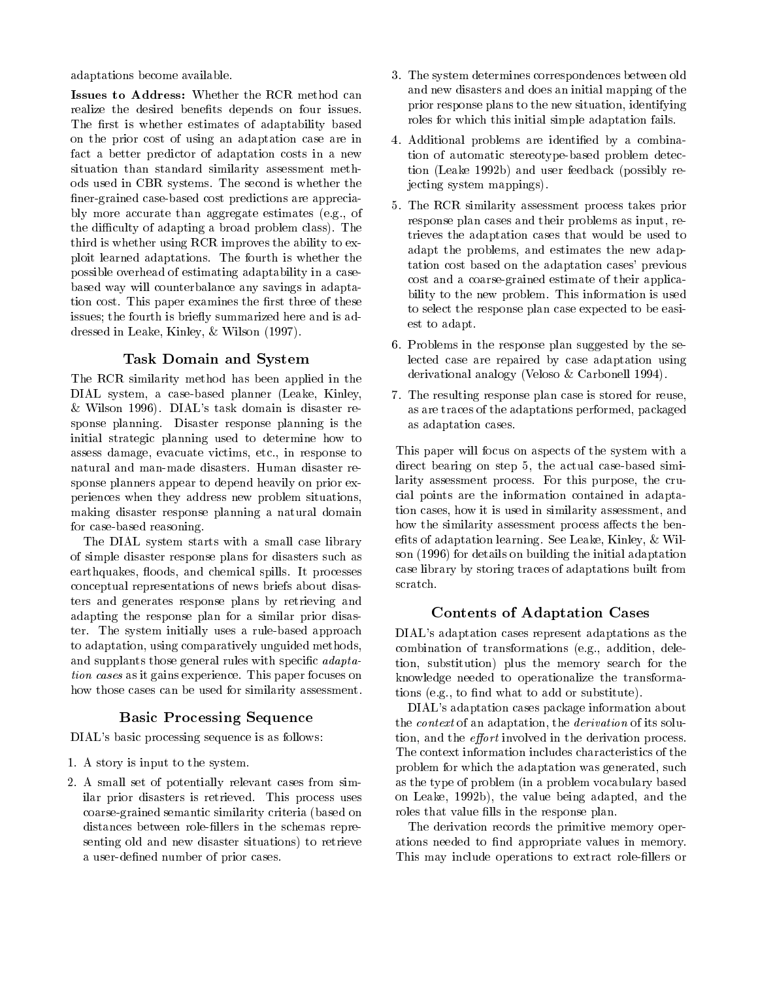adaptations become available.

Issues to Address: Whether the RCR method can realize the desired benefits depends on four issues. The first is whether estimates of adaptability based on the prior cost of using an adaptation case are in fact a better predictor of adaptation costs in a new situation than standard similarity assessment methods used in CBR systems. The second is whether the finer-grained case-based cost predictions are appreciably more accurate than aggregate estimates (e.g., of the difficulty of adapting a broad problem class). The third is whether using RCR improves the ability to exploit learned adaptations. The fourth is whether the possible overhead of estimating adaptability in a casebased way will counterbalance any savings in adaptation cost. This paper examines the first three of these issues; the fourth is briefly summarized here and is addressed in Leake, Kinley, & Wilson (1997).

# Task Domain and System

The RCR similarity method has been applied in the DIAL system, a case-based planner (Leake, Kinley,  $&$  Wilson 1996). DIAL's task domain is disaster response planning. Disaster response planning is the initial strategic planning used to determine how to assess damage, evacuate victims, etc., in response to natural and man-made disasters. Human disaster response planners appear to depend heavily on prior experiences when they address new problem situations, making disaster response planning a natural domain for case-based reasoning.

The DIAL system starts with a small case library of simple disaster response plans for disasters such as earthquakes, floods, and chemical spills. It processes conceptual representations of news briefs about disasters and generates response plans by retrieving and adapting the response plan for a similar prior disaster. The system initially uses a rule-based approach to adaptation, using comparatively unguided methods, and supplants those general rules with specific  $adapta$ tion cases as it gains experience. This paper focuses on how those cases can be used for similarity assessment.

# Basic Processing Sequence

DIAL's basic processing sequence is as follows:

- 1. A story is input to the system.
- 2. A small set of potentially relevant cases from similar prior disasters is retrieved. This process uses coarse-grained semantic similarity criteria (based on distances between role-fillers in the schemas representing old and new disaster situations) to retrieve a user-defined number of prior cases.
- 3. The system determines correspondences between old and new disasters and does an initial mapping of the prior response plans to the new situation, identifying roles for which this initial simple adaptation fails.
- 4. Additional problems are identied by a combination of automatic stereotype-based problem detection (Leake 1992b) and user feedback (possibly rejecting system mappings).
- 5. The RCR similarity assessment process takes prior response plan cases and their problems as input, retrieves the adaptation cases that would be used to adapt the problems, and estimates the new adaptation cost based on the adaptation cases' previous cost and a coarse-grained estimate of their applicability to the new problem. This information is used to select the response plan case expected to be easiest to adapt. est to adaptation of the contract of the contract of the contract of the contract of the contract of the contract of the contract of the contract of the contract of the contract of the contract of the contract of the contr
- 6. Problems in the response plan suggested by the selected case are repaired by case adaptation using derivational analogy (Veloso & Carbonell 1994).
- 7. The resulting response plan case is stored for reuse, as are traces of the adaptations performed, packaged as adaptation cases.

This paper will focus on aspects of the system with a direct bearing on step 5, the actual case-based similarity assessment process. For this purpose, the crucial points are the information contained in adaptation cases, how it is used in similarity assessment, and how the similarity assessment process affects the benefits of adaptation learning. See Leake, Kinley,  $&$  Wilson (1996) for details on building the initial adaptation case library by storing traces of adaptations built from scratch.

# Contents of Adaptation Cases

DIAL's adaptation cases represent adaptations as the combination of transformations (e.g., addition, deletion, substitution) plus the memory search for the knowledge needed to operationalize the transformations (e.g., to find what to add or substitute).

DIAL's adaptation cases package information about the context of an adaptation, the derivation of its solution, and the *effort* involved in the derivation process. The context information includes characteristics of the problem for which the adaptation was generated, such as the type of problem (in a problem vocabulary based on Leake, 1992b), the value being adapted, and the roles that value fills in the response plan.

The derivation records the primitive memory operations needed to find appropriate values in memory. This may include operations to extract role-fillers or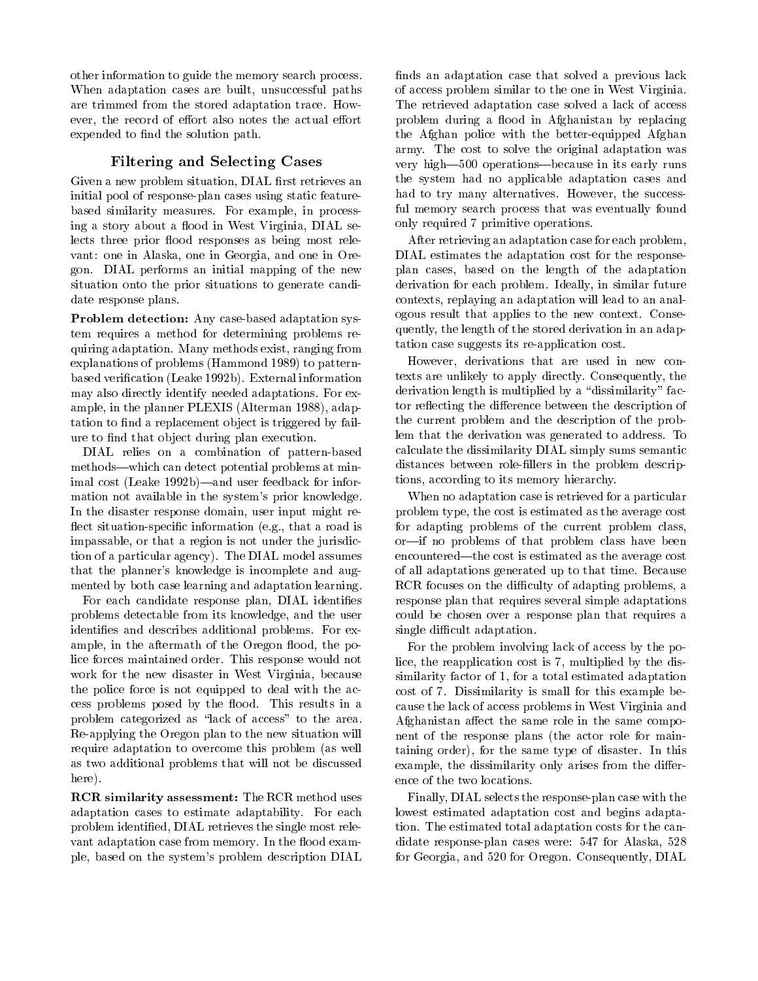other information to guide the memory search process. When adaptation cases are built, unsuccessful paths are trimmed from the stored adaptation trace. Howare trimmed from the stored adaptation trimmed from the stored adaptation trace. However, the stored adaptation trace. However, the stored adaptation trace. However, the stored adaptation trace. However, the stored adapta ever, the record of effort also notes the actual effort expended to find the solution path.

### Filtering and Selecting Cases

Given a new problem situation, DIAL first retrieves an initial pool of response-plan cases using static featurebased similarity measures. For example, in processing a story about a flood in West Virginia, DIAL selects three prior flood responses as being most relevant: one in Alaska, one in Georgia, and one in Oregon. DIAL performs an initial mapping of the new situation onto the prior situations to generate candidate response plans.

Problem detection: Any case-based adaptation system requires a method for determining problems requiring adaptation. Many methods exist, ranging from explanations of problems (Hammond 1989) to patternbased verication (Leake 1992b). External information may also directly identify needed adaptations. For example, in the planner PLEXIS (Alterman 1988), adaptation to find a replacement object is triggered by failure to find that object during plan execution.

DIAL relies on a combination of pattern-based methods—which can detect potential problems at minimal cost (Leake 1992b)—and user feedback for information not available in the system's prior knowledge. In the disaster response domain, user input might re flect situation-specific information (e.g., that a road is impassable, or that a region is not under the jurisdiction of a particular agency). The DIAL model assumes that the planner's knowledge is incomplete and augmented by both case learning and adaptation learning.

For each candidate response plan, DIAL identifies problems detectable from its knowledge, and the user identies and describes additional problems. For example, in the aftermath of the Oregon flood, the police forces maintained order. This response would not work for the new disaster in West Virginia, because the police force is not equipped to deal with the access problems posed by the flood. This results in a problem categorized as "lack of access" to the area. Re-applying the Oregon plan to the new situation will require adaptation to overcome this problem (as well as two additional problems that will not be discussed here).

RCR similarity assessment: The RCR method uses adaptation cases to estimate adaptability. For each problem identied, DIAL retrieves the single most rele vant adaptation case from memory. In the flood example, based on the system's problem description DIAL finds an adaptation case that solved a previous lack of access problem similar to the one in West Virginia. The retrieved adaptation case solved a lack of access problem during a flood in Afghanistan by replacing the Afghan police with the better-equipped Afghan army. The cost to solve the original adaptation was very high-500 operations-because in its early runs the system had no applicable adaptation cases and had to try many alternatives. However, the successful memory search process that was eventually found only required 7 primitive operations.

After retrieving an adaptation case for each problem, DIAL estimates the adaptation cost for the responseplan cases, based on the length of the adaptation derivation for each problem. Ideally, in similar future contexts, replaying an adaptation will lead to an analogous result that applies to the new context. Consequently, the length of the stored derivation in an adaptation case suggests its re-application cost.

However, derivations that are used in new contexts are unlikely to apply directly. Consequently, the derivation length is multiplied by a "dissimilarity" factor reflecting the difference between the description of the current problem and the description of the problem that the derivation was generated to address. To calculate the dissimilarity DIAL simply sums semantic distances between role-fillers in the problem descriptions, according to its memory hierarchy.

When no adaptation case is retrieved for a particular problem type, the cost is estimated as the average cost for adapting problems of the current problem class, or-if no problems of that problem class have been encountered—the cost is estimated as the average cost of all adaptations generated up to that time. Because RCR focuses on the difficulty of adapting problems, a response plan that requires several simple adaptations could be chosen over a response plan that requires a single difficult adaptation.

For the problem involving lack of access by the police, the reapplication cost is 7, multiplied by the dissimilarity factor of 1, for a total estimated adaptation cost of 7. Dissimilarity is small for this example because the lack of access problems in West Virginia and Afghanistan affect the same role in the same component of the response plans (the actor role for maintaining order), for the same type of disaster. In this example, the dissimilarity only arises from the difference of the two locations.

Finally, DIAL selects the response-plan case with the lowest estimated adaptation cost and begins adaptation. The estimated total adaptation costs for the candidate response-plan cases were: 547 for Alaska, 528 for Georgia, and 520 for Oregon. Consequently, DIAL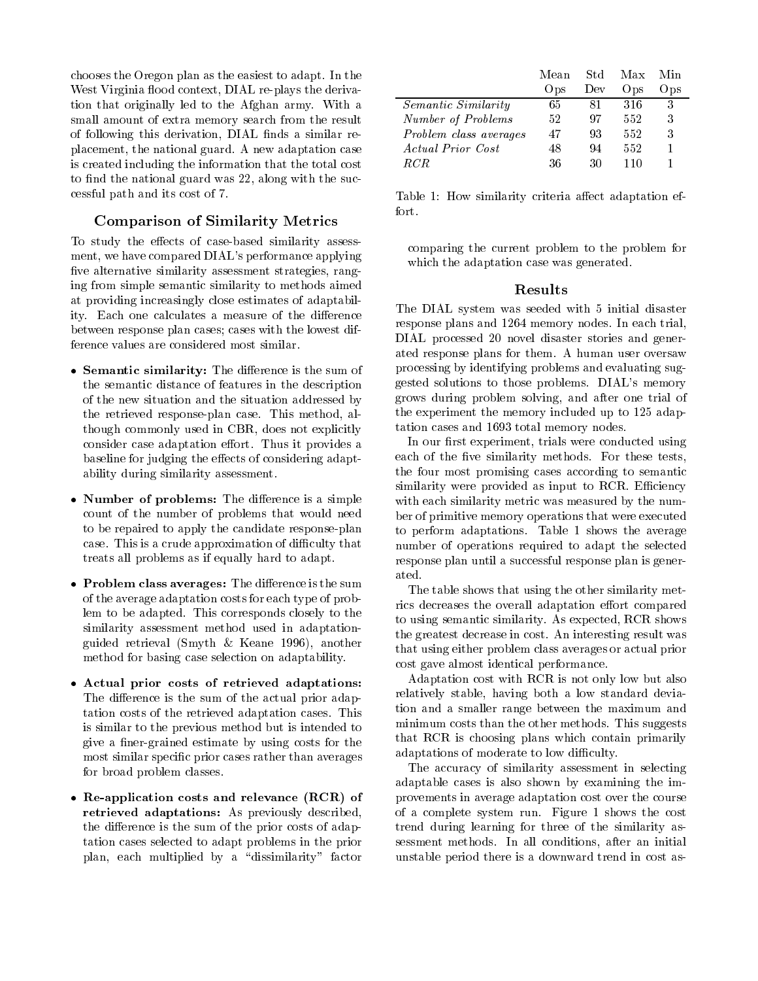chooses the Oregon plan as the easiest to adapt. In the West Virginia flood context, DIAL re-plays the derivation that originally led to the Afghan army. With a small amount of extra memory search from the result of following this derivation, DIAL finds a similar replacement, the national guard. A new adaptation case is created including the information that the total cost to find the national guard was 22, along with the successful path and its cost of 7.

# Comparison of Similarity Metrics

To study the effects of case-based similarity assessment, we have compared DIAL's performance applying five alternative similarity assessment strategies, ranging from simple semantic similarity to methods aimed at providing increasingly close estimates of adaptability. Each one calculates a measure of the difference between response plan cases; cases with the lowest difference values are considered most similar.

- $\bullet$  Semantic similarity: The difference is the sum of the semantic distance of features in the description of the new situation and the situation addressed by the retrieved response-plan case. This method, although commonly used in CBR, does not explicitly consider case adaptation effort. Thus it provides a baseline for judging the effects of considering adaptability during similarity assessment.
- Number of problems: The difference is a simple  $\rm w$ count of the number of problems that would need to be repaired to apply the candidate response-plan case. This is a crude approximation of difficulty that treats all problems as if equally hard to adapt.
- Problem class averages: The difference is the sum  $P_{\rm{E1-1}}$ of the average adaptation costs for each type of problem to be adapted. This corresponds closely to the similarity assessment method used in adaptationguided retrieval (Smyth & Keane 1996), another method for basing case selection on adaptability.
- Actual prior costs of retrieved adaptations: The difference is the sum of the actual prior adaptation costs of the retrieved adaptation cases. This is similar to the previous method but is intended to give a finer-grained estimate by using costs for the most similar specific prior cases rather than averages for broad problem classes.
- $\bullet$  Re-application costs and relevance (RCR) of retrieved adaptations: As previously described, the difference is the sum of the prior costs of adaptation cases selected to adapt problems in the prior plan, each multiplied by a "dissimilarity" factor

|                            | Mean | Std | Max  | Min  |  |
|----------------------------|------|-----|------|------|--|
|                            | Ops  | Dev | Ops) | Ops) |  |
| <i>Semantic Similarity</i> | 65   | 81  | 316  | 3    |  |
| Number of Problems         | 52   | 97  | 552  | 3    |  |
| Problem class averages     | 47   | 93  | 552  | 3    |  |
| Actual Prior Cost          | 48   | 94  | 552  |      |  |
| R CR                       | 36   | 30  | 110  |      |  |

Table 1: How similarity criteria affect adaptation effort.

comparing the current problem to the problem for which the adaptation case was generated.

The DIAL system was seeded with 5 initial disaster response plans and 1264 memory nodes. In each trial, DIAL processed 20 novel disaster stories and generated response plans for them. A human user oversaw processing by identifying problems and evaluating suggested solutions to those problems. DIAL's memory grows during problem solving, and after one trial of the experiment the memory included up to 125 adaptation cases and 1693 total memory nodes.

In our first experiment, trials were conducted using each of the five similarity methods. For these tests, the four most promising cases according to semantic similarity were provided as input to RCR. Efficiency with each similarity metric was measured by the number of primitive memory operations that were executed to perform adaptations. Table 1 shows the average number of operations required to adapt the selected response plan until a successful response plan is generated.

The table shows that using the other similarity metrics decreases the overall adaptation effort compared to using semantic similarity. As expected, RCR shows the greatest decrease in cost. An interesting result was that using either problem class averages or actual prior cost gave almost identical performance.

Adaptation cost with RCR is not only low but also relatively stable, having both a low standard deviation and a smaller range between the maximum and minimum costs than the other methods. This suggests that RCR is choosing plans which contain primarily adaptations of moderate to low difficulty.

The accuracy of similarity assessment in selecting adaptable cases is also shown by examining the improvements in average adaptation cost over the course of a complete system run. Figure 1 shows the cost trend during learning for three of the similarity assessment methods. In all conditions, after an initial unstable period there is a downward trend in cost as-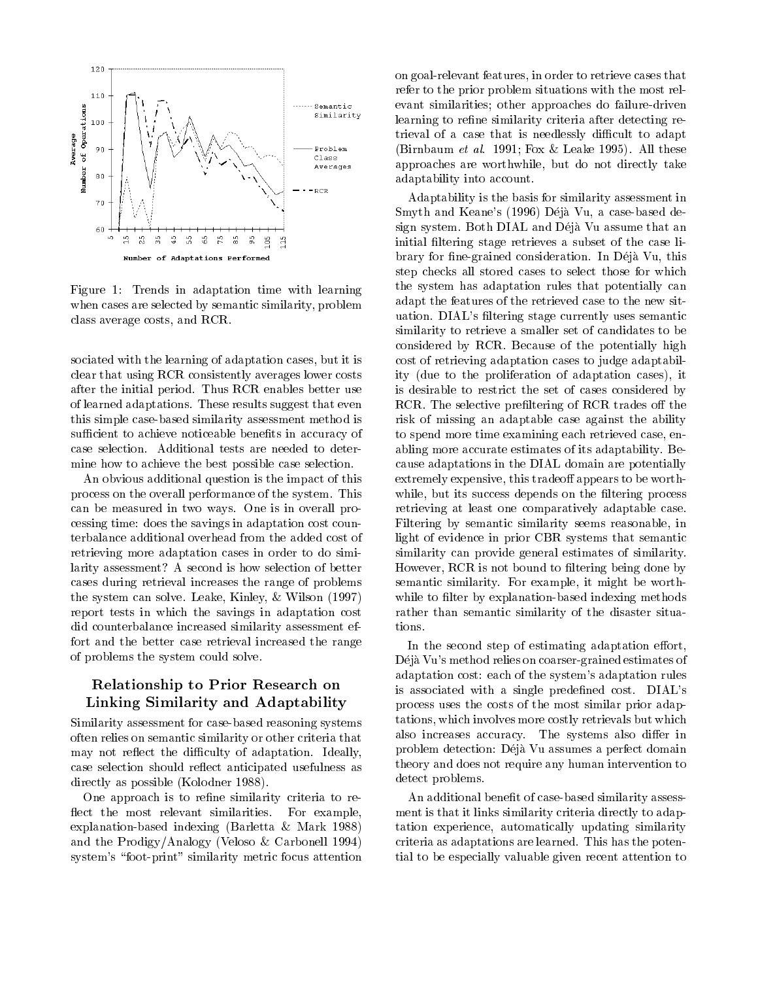

Figure 1: Trends in adaptation time with learning when cases are selected by semantic similarity, problem class average costs, and RCR.

sociated with the learning of adaptation cases, but it is clear that using RCR consistently averages lower costs after the initial period. Thus RCR enables better use of learned adaptations. These results suggest that even this simple case-based similarity assessment method is sufficient to achieve noticeable benefits in accuracy of case selection. Additional tests are needed to determine how to achieve the best possible case selection.

An obvious additional question is the impact of this process on the overall performance of the system. This can be measured in two ways. One is in overall processing time: does the savings in adaptation cost counterbalance additional overhead from the added cost of retrieving more adaptation cases in order to do similarity assessment? A second is how selection of better cases during retrieval increases the range of problems the system can solve. Leake, Kinley, & Wilson (1997) report tests in which the savings in adaptation cost did counterbalance increased similarity assessment effort and the better case retrieval increased the range of problems the system could solve.

# Relationship to Prior Research on Linking Similarity and Adaptability

Similarity assessment for case-based reasoning systems often relies on semantic similarity or other criteria that may not reflect the difficulty of adaptation. Ideally, case selection should reflect anticipated usefulness as directly as possible (Kolodner 1988).

One approach is to refine similarity criteria to reflect the most relevant similarities. For example, explanation-based indexing (Barletta & Mark 1988) and the Prodigy/Analogy (Veloso & Carbonell 1994) system's "foot-print" similarity metric focus attention

on goal-relevant features, in order to retrieve cases that refer to the prior problem situations with the most relevant similarities; other approaches do failure-driven learning to refine similarity criteria after detecting retrieval of a case that is needlessly difficult to adapt (Birnbaum et al. 1991; Fox & Leake 1995). All these approaches are worthwhile, but do not directly take adaptability into account.

Adaptability is the basis for similarity assessment in Smyth and Keane's (1996) Déjà Vu, a case-based design system. Both DIAL and Deja Vu assume that an initial filtering stage retrieves a subset of the case library for fine-grained consideration. In Déjà Vu, this step checks all stored cases to select those for which the system has adaptation rules that potentially can adapt the features of the retrieved case to the new situation. DIAL's filtering stage currently uses semantic similarity to retrieve a smaller set of candidates to be considered by RCR. Because of the potentially high cost of retrieving adaptation cases to judge adaptability (due to the proliferation of adaptation cases), it is desirable to restrict the set of cases considered by RCR. The selective prefiltering of RCR trades off the risk of missing an adaptable case against the ability to spend more time examining each retrieved case, enabling more accurate estimates of its adaptability. Because adaptations in the DIAL domain are potentially extremely expensive, this tradeoff appears to be worthwhile, but its success depends on the filtering process retrieving at least one comparatively adaptable case. Filtering by semantic similarity seems reasonable, in light of evidence in prior CBR systems that semantic similarity can provide general estimates of similarity. However, RCR is not bound to filtering being done by semantic similarity. For example, it might be worthwhile to filter by explanation-based indexing methods rather than semantic similarity of the disaster situations.

In the second step of estimating adaptation effort, Deja Vu's method relies on coarser-grained estimates of adaptation cost: each of the system's adaptation rules is associated with a single predefined cost. DIAL's process uses the costs of the most similar prior adaptations, which involves more costly retrievals but which also increases accuracy. The systems also differ in problem detection: Déjà Vu assumes a perfect domain theory and does not require any human intervention to detect problems.

An additional benefit of case-based similarity assessment is that it links similarity criteria directly to adaptation experience, automatically updating similarity criteria as adaptations are learned. This has the potential to be especially valuable given recent attention to